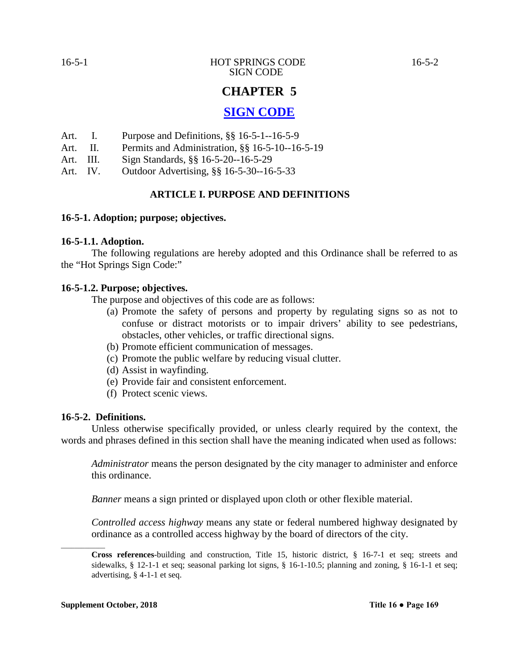# **CHAPTER 5**

# **SIGN CODE**

- Art. I. Purpose and Definitions, §§ 16-5-1--16-5-9
- Art. II. Permits and Administration, §§ 16-5-10--16-5-19
- Art. III. Sign Standards, §§ 16-5-20--16-5-29
- Art. IV. Outdoor Advertising, §§ 16-5-30--16-5-33

# **ARTICLE I. PURPOSE AND DEFINITIONS**

#### **16-5-1. Adoption; purpose; objectives.**

#### **16-5-1.1. Adoption.**

The following regulations are hereby adopted and this Ordinance shall be referred to as the "Hot Springs Sign Code:"

#### **16-5-1.2. Purpose; objectives.**

The purpose and objectives of this code are as follows:

- (a) Promote the safety of persons and property by regulating signs so as not to confuse or distract motorists or to impair drivers' ability to see pedestrians, obstacles, other vehicles, or traffic directional signs.
- (b) Promote efficient communication of messages.
- (c) Promote the public welfare by reducing visual clutter.
- (d) Assist in wayfinding.
- (e) Provide fair and consistent enforcement.
- (f) Protect scenic views.

#### **16-5-2. Definitions.**

Unless otherwise specifically provided, or unless clearly required by the context, the words and phrases defined in this section shall have the meaning indicated when used as follows:

*Administrator* means the person designated by the city manager to administer and enforce this ordinance.

*Banner* means a sign printed or displayed upon cloth or other flexible material.

*Controlled access highway* means any state or federal numbered highway designated by ordinance as a controlled access highway by the board of directors of the city.

 $\overline{\phantom{a}}$ 

**Cross references**-building and construction, Title 15, historic district, § 16-7-1 et seq; streets and sidewalks, § 12-1-1 et seq; seasonal parking lot signs, § 16-1-10.5; planning and zoning, § 16-1-1 et seq; advertising, § 4-1-1 et seq.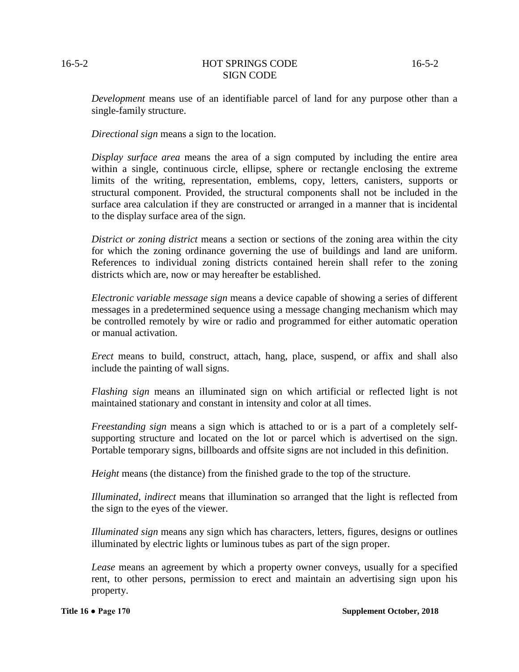#### 16-5-2 HOT SPRINGS CODE 16-5-2 SIGN CODE

*Development* means use of an identifiable parcel of land for any purpose other than a single-family structure.

*Directional sign* means a sign to the location.

*Display surface area* means the area of a sign computed by including the entire area within a single, continuous circle, ellipse, sphere or rectangle enclosing the extreme limits of the writing, representation, emblems, copy, letters, canisters, supports or structural component. Provided, the structural components shall not be included in the surface area calculation if they are constructed or arranged in a manner that is incidental to the display surface area of the sign.

*District or zoning district* means a section or sections of the zoning area within the city for which the zoning ordinance governing the use of buildings and land are uniform. References to individual zoning districts contained herein shall refer to the zoning districts which are, now or may hereafter be established.

*Electronic variable message sign* means a device capable of showing a series of different messages in a predetermined sequence using a message changing mechanism which may be controlled remotely by wire or radio and programmed for either automatic operation or manual activation.

*Erect* means to build, construct, attach, hang, place, suspend, or affix and shall also include the painting of wall signs.

*Flashing sign* means an illuminated sign on which artificial or reflected light is not maintained stationary and constant in intensity and color at all times.

*Freestanding sign* means a sign which is attached to or is a part of a completely selfsupporting structure and located on the lot or parcel which is advertised on the sign. Portable temporary signs, billboards and offsite signs are not included in this definition.

*Height* means (the distance) from the finished grade to the top of the structure.

*Illuminated, indirect* means that illumination so arranged that the light is reflected from the sign to the eyes of the viewer.

*Illuminated sign* means any sign which has characters, letters, figures, designs or outlines illuminated by electric lights or luminous tubes as part of the sign proper.

*Lease* means an agreement by which a property owner conveys, usually for a specified rent, to other persons, permission to erect and maintain an advertising sign upon his property.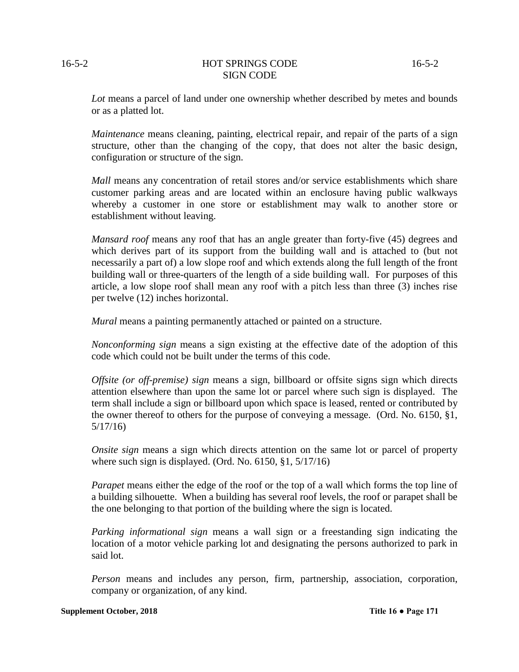#### 16-5-2 HOT SPRINGS CODE 16-5-2 SIGN CODE

*Lot* means a parcel of land under one ownership whether described by metes and bounds or as a platted lot.

*Maintenance* means cleaning, painting, electrical repair, and repair of the parts of a sign structure, other than the changing of the copy, that does not alter the basic design, configuration or structure of the sign.

*Mall* means any concentration of retail stores and/or service establishments which share customer parking areas and are located within an enclosure having public walkways whereby a customer in one store or establishment may walk to another store or establishment without leaving.

*Mansard roof* means any roof that has an angle greater than forty-five (45) degrees and which derives part of its support from the building wall and is attached to (but not necessarily a part of) a low slope roof and which extends along the full length of the front building wall or three-quarters of the length of a side building wall. For purposes of this article, a low slope roof shall mean any roof with a pitch less than three (3) inches rise per twelve (12) inches horizontal.

*Mural* means a painting permanently attached or painted on a structure.

*Nonconforming sign* means a sign existing at the effective date of the adoption of this code which could not be built under the terms of this code.

*Offsite (or off-premise) sign* means a sign, billboard or offsite signs sign which directs attention elsewhere than upon the same lot or parcel where such sign is displayed. The term shall include a sign or billboard upon which space is leased, rented or contributed by the owner thereof to others for the purpose of conveying a message. (Ord. No. 6150, §1, 5/17/16)

*Onsite sign* means a sign which directs attention on the same lot or parcel of property where such sign is displayed. (Ord. No. 6150, §1, 5/17/16)

*Parapet* means either the edge of the roof or the top of a wall which forms the top line of a building silhouette. When a building has several roof levels, the roof or parapet shall be the one belonging to that portion of the building where the sign is located.

*Parking informational sign* means a wall sign or a freestanding sign indicating the location of a motor vehicle parking lot and designating the persons authorized to park in said lot.

*Person* means and includes any person, firm, partnership, association, corporation, company or organization, of any kind.

#### **Supplement October, 2018 Title 16 • Page 171**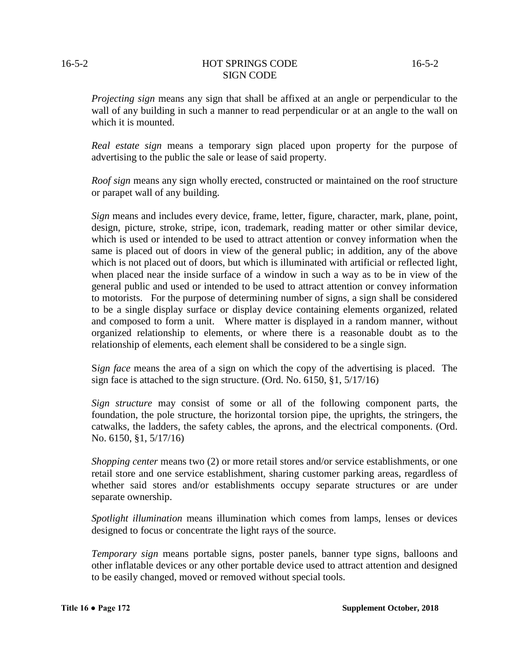#### 16-5-2 **HOT SPRINGS CODE** 16-5-2 SIGN CODE

*Projecting sign* means any sign that shall be affixed at an angle or perpendicular to the wall of any building in such a manner to read perpendicular or at an angle to the wall on which it is mounted.

*Real estate sign* means a temporary sign placed upon property for the purpose of advertising to the public the sale or lease of said property.

*Roof sign* means any sign wholly erected, constructed or maintained on the roof structure or parapet wall of any building.

*Sign* means and includes every device, frame, letter, figure, character, mark, plane, point, design, picture, stroke, stripe, icon, trademark, reading matter or other similar device, which is used or intended to be used to attract attention or convey information when the same is placed out of doors in view of the general public; in addition, any of the above which is not placed out of doors, but which is illuminated with artificial or reflected light, when placed near the inside surface of a window in such a way as to be in view of the general public and used or intended to be used to attract attention or convey information to motorists. For the purpose of determining number of signs, a sign shall be considered to be a single display surface or display device containing elements organized, related and composed to form a unit. Where matter is displayed in a random manner, without organized relationship to elements, or where there is a reasonable doubt as to the relationship of elements, each element shall be considered to be a single sign.

S*ign face* means the area of a sign on which the copy of the advertising is placed. The sign face is attached to the sign structure. (Ord. No. 6150, §1, 5/17/16)

*Sign structure* may consist of some or all of the following component parts, the foundation, the pole structure, the horizontal torsion pipe, the uprights, the stringers, the catwalks, the ladders, the safety cables, the aprons, and the electrical components. (Ord. No. 6150, §1, 5/17/16)

*Shopping center* means two (2) or more retail stores and/or service establishments, or one retail store and one service establishment, sharing customer parking areas, regardless of whether said stores and/or establishments occupy separate structures or are under separate ownership.

*Spotlight illumination* means illumination which comes from lamps, lenses or devices designed to focus or concentrate the light rays of the source.

*Temporary sign* means portable signs, poster panels, banner type signs, balloons and other inflatable devices or any other portable device used to attract attention and designed to be easily changed, moved or removed without special tools.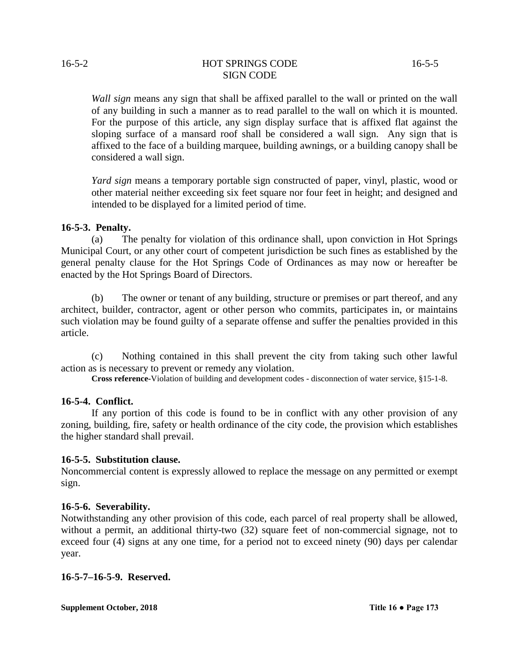# 16-5-2 HOT SPRINGS CODE 16-5-5 SIGN CODE

*Wall sign* means any sign that shall be affixed parallel to the wall or printed on the wall of any building in such a manner as to read parallel to the wall on which it is mounted. For the purpose of this article, any sign display surface that is affixed flat against the sloping surface of a mansard roof shall be considered a wall sign. Any sign that is affixed to the face of a building marquee, building awnings, or a building canopy shall be considered a wall sign.

*Yard sign* means a temporary portable sign constructed of paper, vinyl, plastic, wood or other material neither exceeding six feet square nor four feet in height; and designed and intended to be displayed for a limited period of time.

# **16-5-3. Penalty.**

(a) The penalty for violation of this ordinance shall, upon conviction in Hot Springs Municipal Court, or any other court of competent jurisdiction be such fines as established by the general penalty clause for the Hot Springs Code of Ordinances as may now or hereafter be enacted by the Hot Springs Board of Directors.

(b) The owner or tenant of any building, structure or premises or part thereof, and any architect, builder, contractor, agent or other person who commits, participates in, or maintains such violation may be found guilty of a separate offense and suffer the penalties provided in this article.

(c) Nothing contained in this shall prevent the city from taking such other lawful action as is necessary to prevent or remedy any violation.

**Cross reference-**Violation of building and development codes - disconnection of water service, §15-1-8.

# **16-5-4. Conflict.**

If any portion of this code is found to be in conflict with any other provision of any zoning, building, fire, safety or health ordinance of the city code, the provision which establishes the higher standard shall prevail.

# **16-5-5. Substitution clause.**

Noncommercial content is expressly allowed to replace the message on any permitted or exempt sign.

# **16-5-6. Severability.**

Notwithstanding any other provision of this code, each parcel of real property shall be allowed, without a permit, an additional thirty-two (32) square feet of non-commercial signage, not to exceed four (4) signs at any one time, for a period not to exceed ninety (90) days per calendar year.

# **16-5-7–16-5-9. Reserved.**

**Supplement October, 2018 Title 16 • Page 173**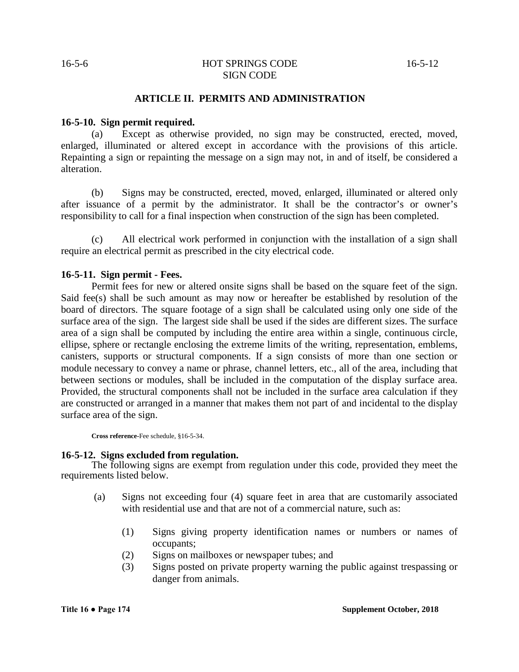#### 16-5-6 HOT SPRINGS CODE 16-5-12 SIGN CODE

#### **ARTICLE II. PERMITS AND ADMINISTRATION**

#### **16-5-10. Sign permit required.**

(a) Except as otherwise provided, no sign may be constructed, erected, moved, enlarged, illuminated or altered except in accordance with the provisions of this article. Repainting a sign or repainting the message on a sign may not, in and of itself, be considered a alteration.

(b) Signs may be constructed, erected, moved, enlarged, illuminated or altered only after issuance of a permit by the administrator. It shall be the contractor's or owner's responsibility to call for a final inspection when construction of the sign has been completed.

(c) All electrical work performed in conjunction with the installation of a sign shall require an electrical permit as prescribed in the city electrical code.

#### **16-5-11. Sign permit - Fees.**

Permit fees for new or altered onsite signs shall be based on the square feet of the sign. Said fee(s) shall be such amount as may now or hereafter be established by resolution of the board of directors. The square footage of a sign shall be calculated using only one side of the surface area of the sign. The largest side shall be used if the sides are different sizes. The surface area of a sign shall be computed by including the entire area within a single, continuous circle, ellipse, sphere or rectangle enclosing the extreme limits of the writing, representation, emblems, canisters, supports or structural components. If a sign consists of more than one section or module necessary to convey a name or phrase, channel letters, etc., all of the area, including that between sections or modules, shall be included in the computation of the display surface area. Provided, the structural components shall not be included in the surface area calculation if they are constructed or arranged in a manner that makes them not part of and incidental to the display surface area of the sign.

**Cross reference-**Fee schedule, §16-5-34.

#### **16-5-12. Signs excluded from regulation.**

The following signs are exempt from regulation under this code, provided they meet the requirements listed below.

- (a) Signs not exceeding four (4) square feet in area that are customarily associated with residential use and that are not of a commercial nature, such as:
	- (1) Signs giving property identification names or numbers or names of occupants;
	- (2) Signs on mailboxes or newspaper tubes; and
	- (3) Signs posted on private property warning the public against trespassing or danger from animals.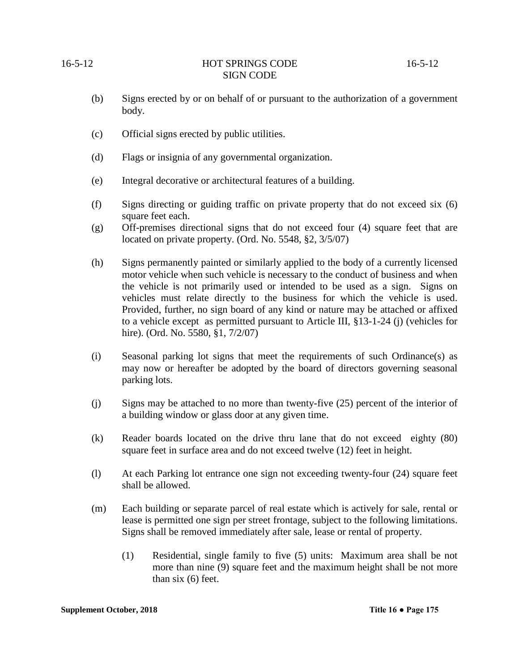#### 16-5-12 **HOT SPRINGS CODE** 16-5-12 SIGN CODE

- (b) Signs erected by or on behalf of or pursuant to the authorization of a government body.
- (c) Official signs erected by public utilities.
- (d) Flags or insignia of any governmental organization.
- (e) Integral decorative or architectural features of a building.
- (f) Signs directing or guiding traffic on private property that do not exceed six (6) square feet each.
- (g) Off-premises directional signs that do not exceed four (4) square feet that are located on private property. (Ord. No. 5548, §2, 3/5/07)
- (h) Signs permanently painted or similarly applied to the body of a currently licensed motor vehicle when such vehicle is necessary to the conduct of business and when the vehicle is not primarily used or intended to be used as a sign. Signs on vehicles must relate directly to the business for which the vehicle is used. Provided, further, no sign board of any kind or nature may be attached or affixed to a vehicle except as permitted pursuant to Article III, §13-1-24 (j) (vehicles for hire). (Ord. No. 5580, §1, 7/2/07)
- (i) Seasonal parking lot signs that meet the requirements of such Ordinance(s) as may now or hereafter be adopted by the board of directors governing seasonal parking lots.
- (j) Signs may be attached to no more than twenty-five (25) percent of the interior of a building window or glass door at any given time.
- (k) Reader boards located on the drive thru lane that do not exceed eighty (80) square feet in surface area and do not exceed twelve (12) feet in height.
- (l) At each Parking lot entrance one sign not exceeding twenty-four (24) square feet shall be allowed.
- (m) Each building or separate parcel of real estate which is actively for sale, rental or lease is permitted one sign per street frontage, subject to the following limitations. Signs shall be removed immediately after sale, lease or rental of property.
	- (1) Residential, single family to five (5) units: Maximum area shall be not more than nine (9) square feet and the maximum height shall be not more than six (6) feet.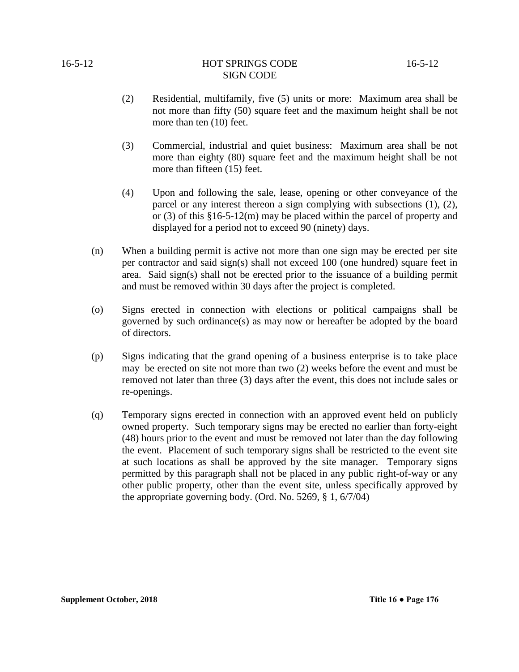# 16-5-12 **HOT SPRINGS CODE** 16-5-12 SIGN CODE

- (2) Residential, multifamily, five (5) units or more: Maximum area shall be not more than fifty (50) square feet and the maximum height shall be not more than ten (10) feet.
- (3) Commercial, industrial and quiet business: Maximum area shall be not more than eighty (80) square feet and the maximum height shall be not more than fifteen (15) feet.
- (4) Upon and following the sale, lease, opening or other conveyance of the parcel or any interest thereon a sign complying with subsections (1), (2), or (3) of this §16-5-12(m) may be placed within the parcel of property and displayed for a period not to exceed 90 (ninety) days.
- (n) When a building permit is active not more than one sign may be erected per site per contractor and said sign(s) shall not exceed 100 (one hundred) square feet in area. Said sign(s) shall not be erected prior to the issuance of a building permit and must be removed within 30 days after the project is completed.
- (o) Signs erected in connection with elections or political campaigns shall be governed by such ordinance(s) as may now or hereafter be adopted by the board of directors.
- (p) Signs indicating that the grand opening of a business enterprise is to take place may be erected on site not more than two (2) weeks before the event and must be removed not later than three (3) days after the event, this does not include sales or re-openings.
- (q) Temporary signs erected in connection with an approved event held on publicly owned property. Such temporary signs may be erected no earlier than forty-eight (48) hours prior to the event and must be removed not later than the day following the event. Placement of such temporary signs shall be restricted to the event site at such locations as shall be approved by the site manager. Temporary signs permitted by this paragraph shall not be placed in any public right-of-way or any other public property, other than the event site, unless specifically approved by the appropriate governing body. (Ord. No. 5269, § 1, 6/7/04)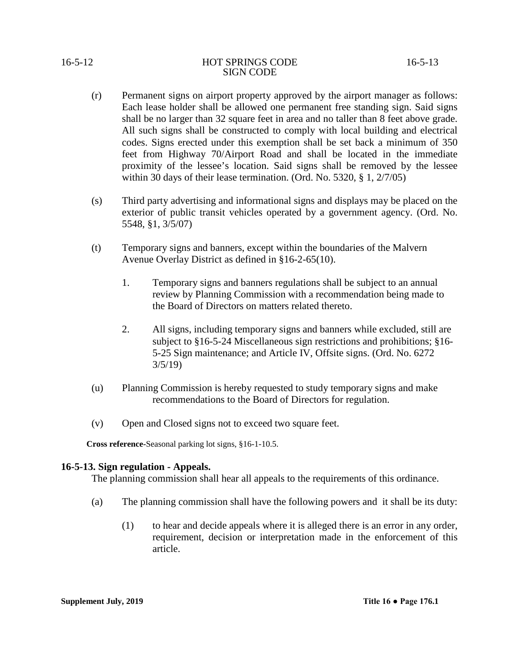- (r) Permanent signs on airport property approved by the airport manager as follows: Each lease holder shall be allowed one permanent free standing sign. Said signs shall be no larger than 32 square feet in area and no taller than 8 feet above grade. All such signs shall be constructed to comply with local building and electrical codes. Signs erected under this exemption shall be set back a minimum of 350 feet from Highway 70/Airport Road and shall be located in the immediate proximity of the lessee's location. Said signs shall be removed by the lessee within 30 days of their lease termination. (Ord. No. 5320, § 1, 2/7/05)
- (s) Third party advertising and informational signs and displays may be placed on the exterior of public transit vehicles operated by a government agency. (Ord. No. 5548, §1, 3/5/07)
- (t) Temporary signs and banners, except within the boundaries of the Malvern Avenue Overlay District as defined in §16-2-65(10).
	- 1. Temporary signs and banners regulations shall be subject to an annual review by Planning Commission with a recommendation being made to the Board of Directors on matters related thereto.
	- 2. All signs, including temporary signs and banners while excluded, still are subject to §16-5-24 Miscellaneous sign restrictions and prohibitions; §16- 5-25 Sign maintenance; and Article IV, Offsite signs. (Ord. No. 6272 3/5/19)
- (u) Planning Commission is hereby requested to study temporary signs and make recommendations to the Board of Directors for regulation.
- (v) Open and Closed signs not to exceed two square feet.

 **Cross reference-**Seasonal parking lot signs, §16-1-10.5.

# **16-5-13. Sign regulation - Appeals.**

The planning commission shall hear all appeals to the requirements of this ordinance.

- (a) The planning commission shall have the following powers and it shall be its duty:
	- (1) to hear and decide appeals where it is alleged there is an error in any order, requirement, decision or interpretation made in the enforcement of this article.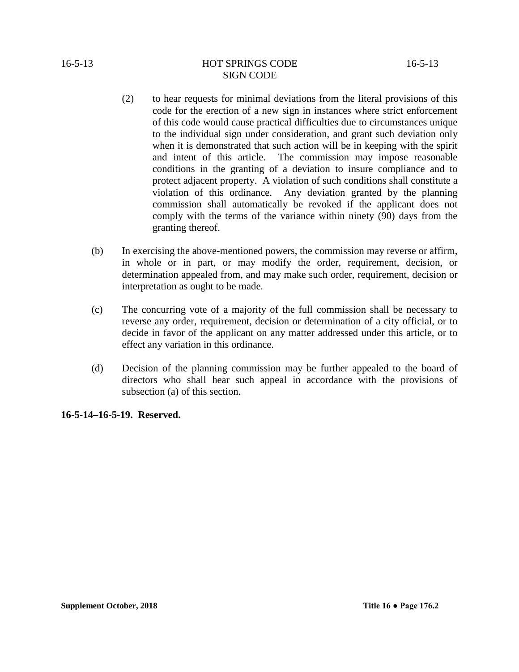#### 16-5-13 HOT SPRINGS CODE 16-5-13 SIGN CODE

- (2) to hear requests for minimal deviations from the literal provisions of this code for the erection of a new sign in instances where strict enforcement of this code would cause practical difficulties due to circumstances unique to the individual sign under consideration, and grant such deviation only when it is demonstrated that such action will be in keeping with the spirit and intent of this article. The commission may impose reasonable conditions in the granting of a deviation to insure compliance and to protect adjacent property. A violation of such conditions shall constitute a violation of this ordinance. Any deviation granted by the planning commission shall automatically be revoked if the applicant does not comply with the terms of the variance within ninety (90) days from the granting thereof.
- (b) In exercising the above-mentioned powers, the commission may reverse or affirm, in whole or in part, or may modify the order, requirement, decision, or determination appealed from, and may make such order, requirement, decision or interpretation as ought to be made.
- (c) The concurring vote of a majority of the full commission shall be necessary to reverse any order, requirement, decision or determination of a city official, or to decide in favor of the applicant on any matter addressed under this article, or to effect any variation in this ordinance.
- (d) Decision of the planning commission may be further appealed to the board of directors who shall hear such appeal in accordance with the provisions of subsection (a) of this section.

**16-5-14–16-5-19. Reserved.**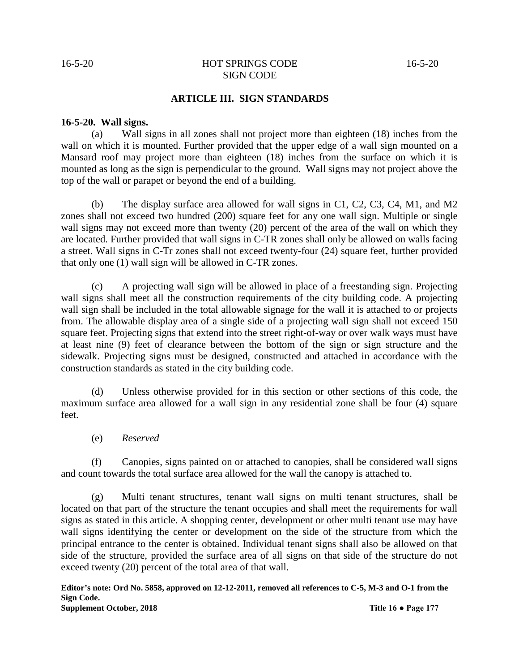# 16-5-20 HOT SPRINGS CODE 16-5-20 SIGN CODE

# **ARTICLE III. SIGN STANDARDS**

#### **16-5-20. Wall signs.**

(a) Wall signs in all zones shall not project more than eighteen (18) inches from the wall on which it is mounted. Further provided that the upper edge of a wall sign mounted on a Mansard roof may project more than eighteen (18) inches from the surface on which it is mounted as long as the sign is perpendicular to the ground. Wall signs may not project above the top of the wall or parapet or beyond the end of a building.

(b) The display surface area allowed for wall signs in C1, C2, C3, C4, M1, and M2 zones shall not exceed two hundred (200) square feet for any one wall sign. Multiple or single wall signs may not exceed more than twenty (20) percent of the area of the wall on which they are located. Further provided that wall signs in C-TR zones shall only be allowed on walls facing a street. Wall signs in C-Tr zones shall not exceed twenty-four (24) square feet, further provided that only one (1) wall sign will be allowed in C-TR zones.

(c) A projecting wall sign will be allowed in place of a freestanding sign. Projecting wall signs shall meet all the construction requirements of the city building code. A projecting wall sign shall be included in the total allowable signage for the wall it is attached to or projects from. The allowable display area of a single side of a projecting wall sign shall not exceed 150 square feet. Projecting signs that extend into the street right-of-way or over walk ways must have at least nine (9) feet of clearance between the bottom of the sign or sign structure and the sidewalk. Projecting signs must be designed, constructed and attached in accordance with the construction standards as stated in the city building code.

(d) Unless otherwise provided for in this section or other sections of this code, the maximum surface area allowed for a wall sign in any residential zone shall be four (4) square feet.

(e) *Reserved*

(f) Canopies, signs painted on or attached to canopies, shall be considered wall signs and count towards the total surface area allowed for the wall the canopy is attached to.

(g) Multi tenant structures, tenant wall signs on multi tenant structures, shall be located on that part of the structure the tenant occupies and shall meet the requirements for wall signs as stated in this article. A shopping center, development or other multi tenant use may have wall signs identifying the center or development on the side of the structure from which the principal entrance to the center is obtained. Individual tenant signs shall also be allowed on that side of the structure, provided the surface area of all signs on that side of the structure do not exceed twenty (20) percent of the total area of that wall.

**Editor's note: Ord No. 5858, approved on 12-12-2011, removed all references to C-5, M-3 and O-1 from the Sign Code. Supplement October, 2018 Title 16 • Page 177**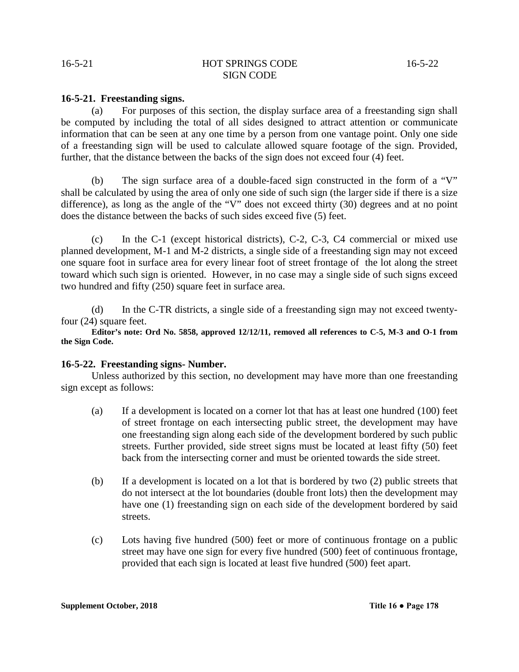#### 16-5-21 HOT SPRINGS CODE 16-5-22 SIGN CODE

#### **16-5-21. Freestanding signs.**

(a) For purposes of this section, the display surface area of a freestanding sign shall be computed by including the total of all sides designed to attract attention or communicate information that can be seen at any one time by a person from one vantage point. Only one side of a freestanding sign will be used to calculate allowed square footage of the sign. Provided, further, that the distance between the backs of the sign does not exceed four (4) feet.

(b) The sign surface area of a double-faced sign constructed in the form of a "V" shall be calculated by using the area of only one side of such sign (the larger side if there is a size difference), as long as the angle of the "V" does not exceed thirty (30) degrees and at no point does the distance between the backs of such sides exceed five (5) feet.

(c) In the C-1 (except historical districts), C-2, C-3, C4 commercial or mixed use planned development, M-1 and M-2 districts, a single side of a freestanding sign may not exceed one square foot in surface area for every linear foot of street frontage of the lot along the street toward which such sign is oriented. However, in no case may a single side of such signs exceed two hundred and fifty (250) square feet in surface area.

(d) In the C-TR districts, a single side of a freestanding sign may not exceed twentyfour (24) square feet.

**Editor's note: Ord No. 5858, approved 12/12/11, removed all references to C-5, M-3 and O-1 from the Sign Code.**

#### **16-5-22. Freestanding signs- Number.**

Unless authorized by this section, no development may have more than one freestanding sign except as follows:

- (a) If a development is located on a corner lot that has at least one hundred (100) feet of street frontage on each intersecting public street, the development may have one freestanding sign along each side of the development bordered by such public streets. Further provided, side street signs must be located at least fifty (50) feet back from the intersecting corner and must be oriented towards the side street.
- (b) If a development is located on a lot that is bordered by two (2) public streets that do not intersect at the lot boundaries (double front lots) then the development may have one (1) freestanding sign on each side of the development bordered by said streets.
- (c) Lots having five hundred (500) feet or more of continuous frontage on a public street may have one sign for every five hundred (500) feet of continuous frontage, provided that each sign is located at least five hundred (500) feet apart.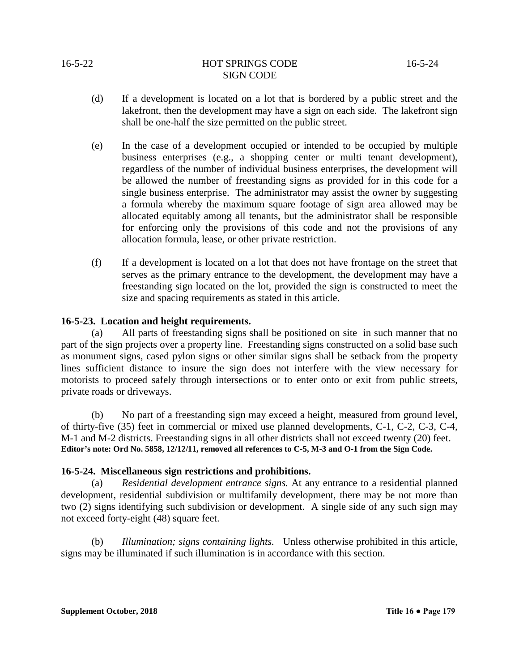# 16-5-22 HOT SPRINGS CODE 16-5-24 SIGN CODE

- (d) If a development is located on a lot that is bordered by a public street and the lakefront, then the development may have a sign on each side. The lakefront sign shall be one-half the size permitted on the public street.
- (e) In the case of a development occupied or intended to be occupied by multiple business enterprises (e.g., a shopping center or multi tenant development), regardless of the number of individual business enterprises, the development will be allowed the number of freestanding signs as provided for in this code for a single business enterprise. The administrator may assist the owner by suggesting a formula whereby the maximum square footage of sign area allowed may be allocated equitably among all tenants, but the administrator shall be responsible for enforcing only the provisions of this code and not the provisions of any allocation formula, lease, or other private restriction.
- (f) If a development is located on a lot that does not have frontage on the street that serves as the primary entrance to the development, the development may have a freestanding sign located on the lot, provided the sign is constructed to meet the size and spacing requirements as stated in this article.

# **16-5-23. Location and height requirements.**

(a) All parts of freestanding signs shall be positioned on site in such manner that no part of the sign projects over a property line. Freestanding signs constructed on a solid base such as monument signs, cased pylon signs or other similar signs shall be setback from the property lines sufficient distance to insure the sign does not interfere with the view necessary for motorists to proceed safely through intersections or to enter onto or exit from public streets, private roads or driveways.

(b) No part of a freestanding sign may exceed a height, measured from ground level, of thirty-five (35) feet in commercial or mixed use planned developments, C-1, C-2, C-3, C-4, M-1 and M-2 districts. Freestanding signs in all other districts shall not exceed twenty (20) feet. **Editor's note: Ord No. 5858, 12/12/11, removed all references to C-5, M-3 and O-1 from the Sign Code.**

# **16-5-24. Miscellaneous sign restrictions and prohibitions.**

(a) *Residential development entrance signs.* At any entrance to a residential planned development, residential subdivision or multifamily development, there may be not more than two (2) signs identifying such subdivision or development. A single side of any such sign may not exceed forty-eight (48) square feet.

(b) *Illumination; signs containing lights.* Unless otherwise prohibited in this article, signs may be illuminated if such illumination is in accordance with this section.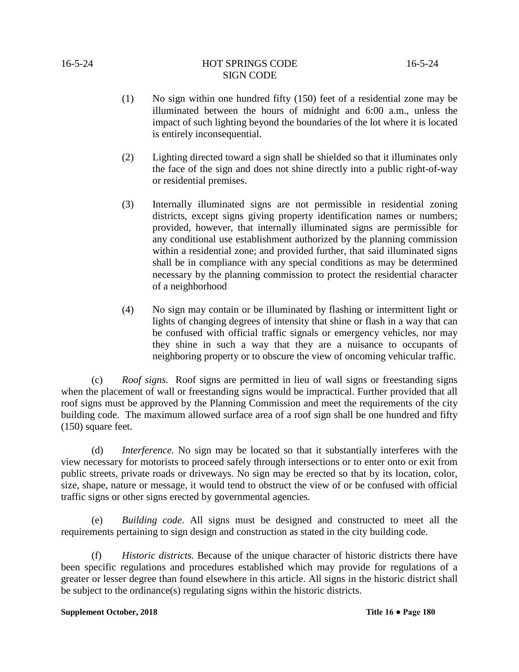- (1) No sign within one hundred fifty (150) feet of a residential zone may be illuminated between the hours of midnight and 6:00 a.m., unless the impact of such lighting beyond the boundaries of the lot where it is located is entirely inconsequential.
- (2) Lighting directed toward a sign shall be shielded so that it illuminates only the face of the sign and does not shine directly into a public right-of-way or residential premises.
- (3) Internally illuminated signs are not permissible in residential zoning districts, except signs giving property identification names or numbers; provided, however, that internally illuminated signs are permissible for any conditional use establishment authorized by the planning commission within a residential zone; and provided further, that said illuminated signs shall be in compliance with any special conditions as may be determined necessary by the planning commission to protect the residential character of a neighborhood
- (4) No sign may contain or be illuminated by flashing or intermittent light or lights of changing degrees of intensity that shine or flash in a way that can be confused with official traffic signals or emergency vehicles, nor may they shine in such a way that they are a nuisance to occupants of neighboring property or to obscure the view of oncoming vehicular traffic.

(c) *Roof signs.* Roof signs are permitted in lieu of wall signs or freestanding signs when the placement of wall or freestanding signs would be impractical. Further provided that all roof signs must be approved by the Planning Commission and meet the requirements of the city building code. The maximum allowed surface area of a roof sign shall be one hundred and fifty (150) square feet.

(d) *Interference.* No sign may be located so that it substantially interferes with the view necessary for motorists to proceed safely through intersections or to enter onto or exit from public streets, private roads or driveways. No sign may be erected so that by its location, color, size, shape, nature or message, it would tend to obstruct the view of or be confused with official traffic signs or other signs erected by governmental agencies.

(e) *Building code*. All signs must be designed and constructed to meet all the requirements pertaining to sign design and construction as stated in the city building code.

(f) *Historic districts.* Because of the unique character of historic districts there have been specific regulations and procedures established which may provide for regulations of a greater or lesser degree than found elsewhere in this article. All signs in the historic district shall be subject to the ordinance(s) regulating signs within the historic districts.

#### **Supplement October, 2018** Title 16 • Page 180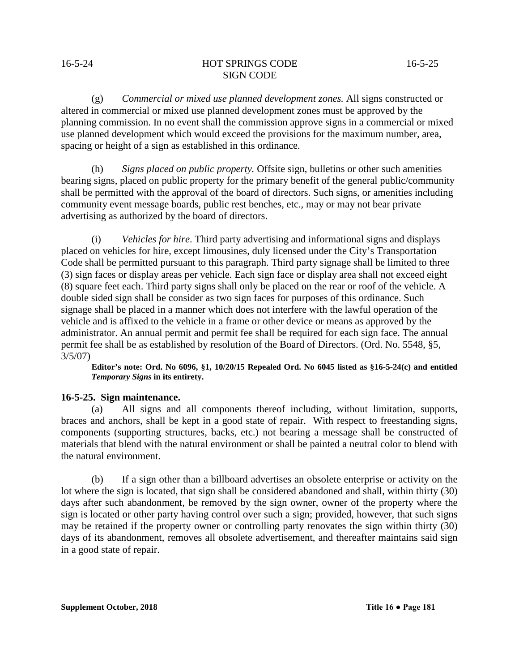#### 16-5-24 HOT SPRINGS CODE 16-5-25 SIGN CODE

(g) *Commercial or mixed use planned development zones.* All signs constructed or altered in commercial or mixed use planned development zones must be approved by the planning commission. In no event shall the commission approve signs in a commercial or mixed use planned development which would exceed the provisions for the maximum number, area, spacing or height of a sign as established in this ordinance.

(h) *Signs placed on public property.* Offsite sign, bulletins or other such amenities bearing signs, placed on public property for the primary benefit of the general public/community shall be permitted with the approval of the board of directors. Such signs, or amenities including community event message boards, public rest benches, etc., may or may not bear private advertising as authorized by the board of directors.

(i) *Vehicles for hire*. Third party advertising and informational signs and displays placed on vehicles for hire, except limousines, duly licensed under the City's Transportation Code shall be permitted pursuant to this paragraph. Third party signage shall be limited to three (3) sign faces or display areas per vehicle. Each sign face or display area shall not exceed eight (8) square feet each. Third party signs shall only be placed on the rear or roof of the vehicle. A double sided sign shall be consider as two sign faces for purposes of this ordinance. Such signage shall be placed in a manner which does not interfere with the lawful operation of the vehicle and is affixed to the vehicle in a frame or other device or means as approved by the administrator. An annual permit and permit fee shall be required for each sign face. The annual permit fee shall be as established by resolution of the Board of Directors. (Ord. No. 5548, §5,  $3/5/07$ 

**Editor's note: Ord. No 6096, §1, 10/20/15 Repealed Ord. No 6045 listed as §16-5-24(c) and entitled**  *Temporary Signs* **in its entirety.**

# **16-5-25. Sign maintenance.**

(a) All signs and all components thereof including, without limitation, supports, braces and anchors, shall be kept in a good state of repair. With respect to freestanding signs, components (supporting structures, backs, etc.) not bearing a message shall be constructed of materials that blend with the natural environment or shall be painted a neutral color to blend with the natural environment.

(b) If a sign other than a billboard advertises an obsolete enterprise or activity on the lot where the sign is located, that sign shall be considered abandoned and shall, within thirty (30) days after such abandonment, be removed by the sign owner, owner of the property where the sign is located or other party having control over such a sign; provided, however, that such signs may be retained if the property owner or controlling party renovates the sign within thirty (30) days of its abandonment, removes all obsolete advertisement, and thereafter maintains said sign in a good state of repair.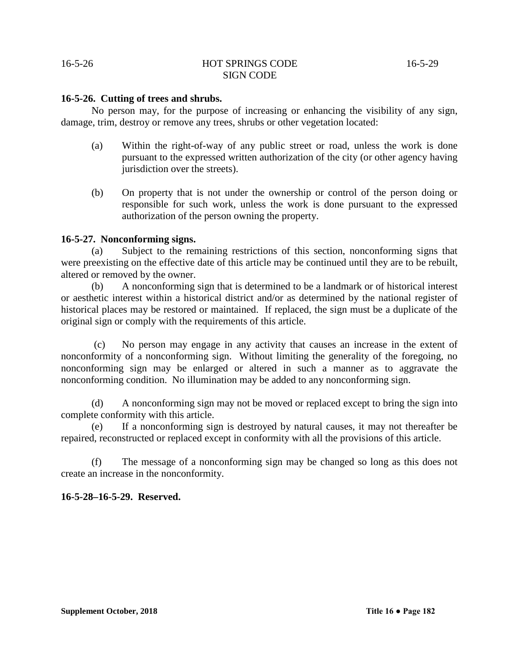#### **16-5-26. Cutting of trees and shrubs.**

No person may, for the purpose of increasing or enhancing the visibility of any sign, damage, trim, destroy or remove any trees, shrubs or other vegetation located:

- (a) Within the right-of-way of any public street or road, unless the work is done pursuant to the expressed written authorization of the city (or other agency having jurisdiction over the streets).
- (b) On property that is not under the ownership or control of the person doing or responsible for such work, unless the work is done pursuant to the expressed authorization of the person owning the property.

#### **16-5-27. Nonconforming signs.**

(a) Subject to the remaining restrictions of this section, nonconforming signs that were preexisting on the effective date of this article may be continued until they are to be rebuilt, altered or removed by the owner.

(b) A nonconforming sign that is determined to be a landmark or of historical interest or aesthetic interest within a historical district and/or as determined by the national register of historical places may be restored or maintained. If replaced, the sign must be a duplicate of the original sign or comply with the requirements of this article.

(c) No person may engage in any activity that causes an increase in the extent of nonconformity of a nonconforming sign. Without limiting the generality of the foregoing, no nonconforming sign may be enlarged or altered in such a manner as to aggravate the nonconforming condition. No illumination may be added to any nonconforming sign.

(d) A nonconforming sign may not be moved or replaced except to bring the sign into complete conformity with this article.

(e) If a nonconforming sign is destroyed by natural causes, it may not thereafter be repaired, reconstructed or replaced except in conformity with all the provisions of this article.

(f) The message of a nonconforming sign may be changed so long as this does not create an increase in the nonconformity.

# **16-5-28–16-5-29. Reserved.**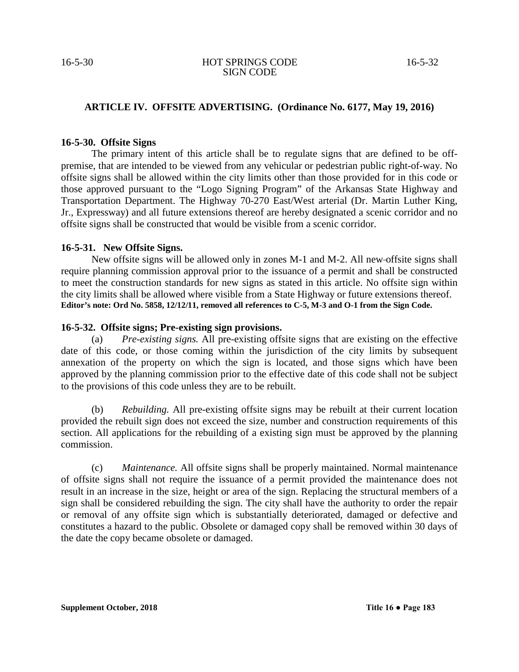# **ARTICLE IV. OFFSITE ADVERTISING. (Ordinance No. 6177, May 19, 2016)**

#### **16-5-30. Offsite Signs**

The primary intent of this article shall be to regulate signs that are defined to be offpremise, that are intended to be viewed from any vehicular or pedestrian public right-of-way. No offsite signs shall be allowed within the city limits other than those provided for in this code or those approved pursuant to the "Logo Signing Program" of the Arkansas State Highway and Transportation Department. The Highway 70-270 East/West arterial (Dr. Martin Luther King, Jr., Expressway) and all future extensions thereof are hereby designated a scenic corridor and no offsite signs shall be constructed that would be visible from a scenic corridor.

#### **16-5-31. New Offsite Signs.**

New offsite signs will be allowed only in zones M-1 and M-2. All new offsite signs shall require planning commission approval prior to the issuance of a permit and shall be constructed to meet the construction standards for new signs as stated in this article. No offsite sign within the city limits shall be allowed where visible from a State Highway or future extensions thereof. **Editor's note: Ord No. 5858, 12/12/11, removed all references to C-5, M-3 and O-1 from the Sign Code.**

#### **16-5-32. Offsite signs; Pre-existing sign provisions.**

(a) *Pre-existing signs.* All pre-existing offsite signs that are existing on the effective date of this code, or those coming within the jurisdiction of the city limits by subsequent annexation of the property on which the sign is located, and those signs which have been approved by the planning commission prior to the effective date of this code shall not be subject to the provisions of this code unless they are to be rebuilt.

(b) *Rebuilding.* All pre-existing offsite signs may be rebuilt at their current location provided the rebuilt sign does not exceed the size, number and construction requirements of this section. All applications for the rebuilding of a existing sign must be approved by the planning commission.

(c) *Maintenance.* All offsite signs shall be properly maintained. Normal maintenance of offsite signs shall not require the issuance of a permit provided the maintenance does not result in an increase in the size, height or area of the sign. Replacing the structural members of a sign shall be considered rebuilding the sign. The city shall have the authority to order the repair or removal of any offsite sign which is substantially deteriorated, damaged or defective and constitutes a hazard to the public. Obsolete or damaged copy shall be removed within 30 days of the date the copy became obsolete or damaged.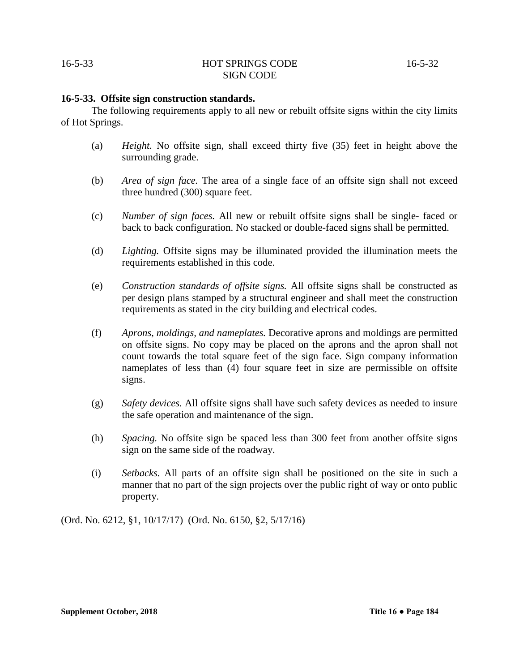#### **16-5-33. Offsite sign construction standards.**

The following requirements apply to all new or rebuilt offsite signs within the city limits of Hot Springs.

- (a) *Height.* No offsite sign, shall exceed thirty five (35) feet in height above the surrounding grade.
- (b) *Area of sign face.* The area of a single face of an offsite sign shall not exceed three hundred (300) square feet.
- (c) *Number of sign faces.* All new or rebuilt offsite signs shall be single- faced or back to back configuration. No stacked or double-faced signs shall be permitted.
- (d) *Lighting.* Offsite signs may be illuminated provided the illumination meets the requirements established in this code.
- (e) *Construction standards of offsite signs.* All offsite signs shall be constructed as per design plans stamped by a structural engineer and shall meet the construction requirements as stated in the city building and electrical codes.
- (f) *Aprons, moldings, and nameplates.* Decorative aprons and moldings are permitted on offsite signs. No copy may be placed on the aprons and the apron shall not count towards the total square feet of the sign face. Sign company information nameplates of less than (4) four square feet in size are permissible on offsite signs.
- (g) *Safety devices.* All offsite signs shall have such safety devices as needed to insure the safe operation and maintenance of the sign.
- (h) *Spacing.* No offsite sign be spaced less than 300 feet from another offsite signs sign on the same side of the roadway.
- (i) *Setbacks.* All parts of an offsite sign shall be positioned on the site in such a manner that no part of the sign projects over the public right of way or onto public property.

(Ord. No. 6212, §1, 10/17/17) (Ord. No. 6150, §2, 5/17/16)